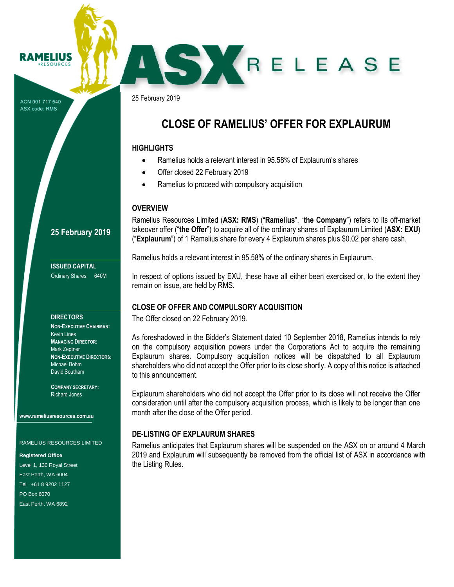ACN 001 717 540 ASX code: RMS

AMFI

25 February 2019

## **CLOSE OF RAMELIUS' OFFER FOR EXPLAURUM**

SKRELEASE

#### **HIGHLIGHTS**

- Ramelius holds a relevant interest in 95.58% of Explaurum's shares
- Offer closed 22 February 2019
- Ramelius to proceed with compulsory acquisition

## **OVERVIEW**

Ramelius Resources Limited (**ASX: RMS**) ("**Ramelius**", "**the Company**") refers to its off-market takeover offer ("**the Offer**") to acquire all of the ordinary shares of Explaurum Limited (**ASX: EXU**) ("**Explaurum**") of 1 Ramelius share for every 4 Explaurum shares plus \$0.02 per share cash.

Ramelius holds a relevant interest in 95.58% of the ordinary shares in Explaurum.

In respect of options issued by EXU, these have all either been exercised or, to the extent they remain on issue, are held by RMS.

## **CLOSE OF OFFER AND COMPULSORY ACQUISITION**

The Offer closed on 22 February 2019.

As foreshadowed in the Bidder's Statement dated 10 September 2018, Ramelius intends to rely on the compulsory acquisition powers under the Corporations Act to acquire the remaining Explaurum shares. Compulsory acquisition notices will be dispatched to all Explaurum shareholders who did not accept the Offer prior to its close shortly. A copy of this notice is attached to this announcement.

Explaurum shareholders who did not accept the Offer prior to its close will not receive the Offer consideration until after the compulsory acquisition process, which is likely to be longer than one month after the close of the Offer period.

## **DE-LISTING OF EXPLAURUM SHARES**

Ramelius anticipates that Explaurum shares will be suspended on the ASX on or around 4 March 2019 and Explaurum will subsequently be removed from the official list of ASX in accordance with the Listing Rules.

## **25 February 2019**

**ISSUED CAPITAL** Ordinary Shares: 640M

#### **DIRECTORS**

**NON-EXECUTIVE CHAIRMAN:** Kevin Lines **MANAGING DIRECTOR:** Mark Zeptner **NON-EXECUTIVE DIRECTORS:** Michael Bohm David Southam

**COMPANY SECRETARY:** Richard Jones

**www.rameliusresources.com.au**

RAMELIUS RESOURCES LIMITED

#### **Registered Office**

Level 1, 130 Royal Street East Perth, WA 6004 Tel +61 8 9202 1127 PO Box 6070 East Perth, WA 6892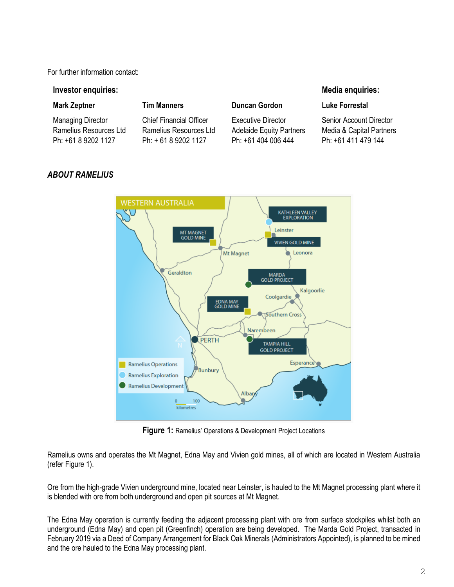For further information contact:

#### **Investor enquiries:**

#### **Mark Zeptner**

Managing Director Ramelius Resources Ltd Ph: +61 8 9202 1127

## **Tim Manners**

Chief Financial Officer Ramelius Resources Ltd Ph: + 61 8 9202 1127

### **Duncan Gordon**

Executive Director Adelaide Equity Partners Ph: +61 404 006 444

### **Media enquiries:**

#### **Luke Forrestal**

Senior Account Director Media & Capital Partners Ph: +61 411 479 144



## *ABOUT RAMELIUS*

**Figure 1:** Ramelius' Operations & Development Project Locations

Ramelius owns and operates the Mt Magnet, Edna May and Vivien gold mines, all of which are located in Western Australia (refer Figure 1).

Ore from the high-grade Vivien underground mine, located near Leinster, is hauled to the Mt Magnet processing plant where it is blended with ore from both underground and open pit sources at Mt Magnet.

The Edna May operation is currently feeding the adjacent processing plant with ore from surface stockpiles whilst both an underground (Edna May) and open pit (Greenfinch) operation are being developed. The Marda Gold Project, transacted in February 2019 via a Deed of Company Arrangement for Black Oak Minerals (Administrators Appointed), is planned to be mined and the ore hauled to the Edna May processing plant.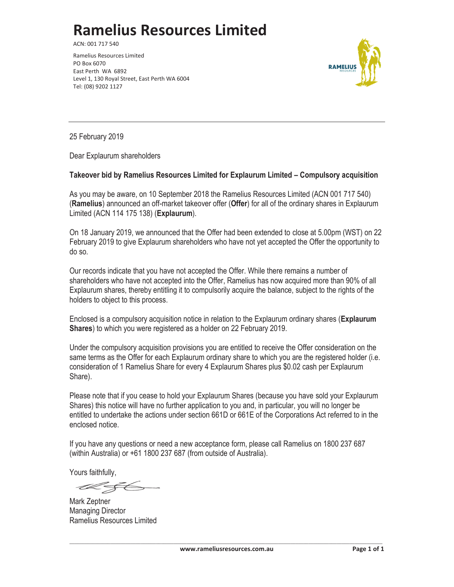# **Ramelius Resources Limited**

ACN: 001 717 540

Ramelius Resources Limited PO Box 6070 East Perth WA 6892 Level 1, 130 Royal Street, East Perth WA 6004 Tel: (08) 9202 1127



25 February 2019

Dear Explaurum shareholders

#### **Takeover bid by Ramelius Resources Limited for Explaurum Limited – Compulsory acquisition**

As you may be aware, on 10 September 2018 the Ramelius Resources Limited (ACN 001 717 540) (**Ramelius**) announced an off-market takeover offer (**Offer**) for all of the ordinary shares in Explaurum Limited (ACN 114 175 138) (**Explaurum**).

On 18 January 2019, we announced that the Offer had been extended to close at 5.00pm (WST) on 22 February 2019 to give Explaurum shareholders who have not yet accepted the Offer the opportunity to do so.

Our records indicate that you have not accepted the Offer. While there remains a number of shareholders who have not accepted into the Offer, Ramelius has now acquired more than 90% of all Explaurum shares, thereby entitling it to compulsorily acquire the balance, subject to the rights of the holders to object to this process.

Enclosed is a compulsory acquisition notice in relation to the Explaurum ordinary shares (**Explaurum Shares**) to which you were registered as a holder on 22 February 2019.

Under the compulsory acquisition provisions you are entitled to receive the Offer consideration on the same terms as the Offer for each Explaurum ordinary share to which you are the registered holder (i.e. consideration of 1 Ramelius Share for every 4 Explaurum Shares plus \$0.02 cash per Explaurum Share).

Please note that if you cease to hold your Explaurum Shares (because you have sold your Explaurum Shares) this notice will have no further application to you and, in particular, you will no longer be entitled to undertake the actions under section 661D or 661E of the Corporations Act referred to in the enclosed notice.

If you have any questions or need a new acceptance form, please call Ramelius on 1800 237 687 (within Australia) or +61 1800 237 687 (from outside of Australia).

Yours faithfully,

Mark Zeptner Managing Director Ramelius Resources Limited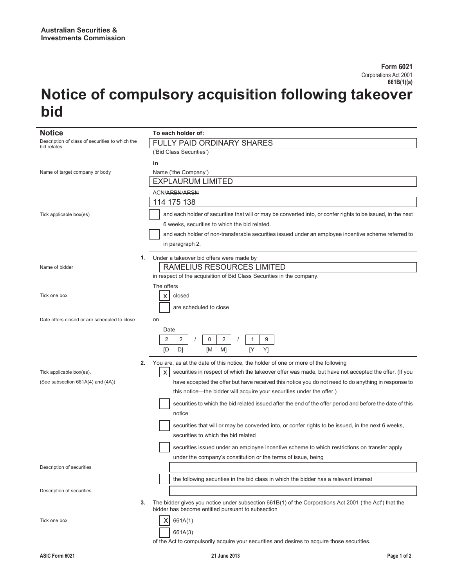# **Notice of compulsory acquisition following takeover bid**

| <b>Notice</b>                                                  |    | To each holder of:                                                                                                                                          |
|----------------------------------------------------------------|----|-------------------------------------------------------------------------------------------------------------------------------------------------------------|
| Description of class of securities to which the<br>bid relates |    | FULLY PAID ORDINARY SHARES                                                                                                                                  |
|                                                                |    | ('Bid Class Securities')                                                                                                                                    |
|                                                                |    | in                                                                                                                                                          |
| Name of target company or body                                 |    | Name ('the Company')                                                                                                                                        |
|                                                                |    | <b>EXPLAURUM LIMITED</b>                                                                                                                                    |
|                                                                |    |                                                                                                                                                             |
|                                                                |    | <b>ACN/ARBN/ARSN</b>                                                                                                                                        |
|                                                                |    | 114 175 138                                                                                                                                                 |
| Tick applicable box(es)                                        |    | and each holder of securities that will or may be converted into, or confer rights to be issued, in the next                                                |
|                                                                |    | 6 weeks, securities to which the bid related.                                                                                                               |
|                                                                |    | and each holder of non-transferable securities issued under an employee incentive scheme referred to                                                        |
|                                                                |    |                                                                                                                                                             |
|                                                                |    | in paragraph 2.                                                                                                                                             |
|                                                                | 1. | Under a takeover bid offers were made by                                                                                                                    |
| Name of bidder                                                 |    | RAMELIUS RESOURCES LIMITED                                                                                                                                  |
|                                                                |    | in respect of the acquisition of Bid Class Securities in the company.                                                                                       |
|                                                                |    | The offers                                                                                                                                                  |
|                                                                |    |                                                                                                                                                             |
| Tick one box                                                   |    | closed<br>х                                                                                                                                                 |
|                                                                |    | are scheduled to close                                                                                                                                      |
| Date offers closed or are scheduled to close                   |    | on                                                                                                                                                          |
|                                                                |    |                                                                                                                                                             |
|                                                                |    | Date                                                                                                                                                        |
|                                                                |    | 2<br>2<br>0<br>2<br>9<br>1                                                                                                                                  |
|                                                                |    | Y]<br>D]<br>M1<br>[Y<br>ſD<br>ſМ                                                                                                                            |
|                                                                | 2. | You are, as at the date of this notice, the holder of one or more of the following                                                                          |
| Tick applicable box(es).                                       |    | securities in respect of which the takeover offer was made, but have not accepted the offer. (If you<br>х                                                   |
|                                                                |    |                                                                                                                                                             |
| (See subsection 661A(4) and (4A))                              |    | have accepted the offer but have received this notice you do not need to do anything in response to                                                         |
|                                                                |    | this notice-the bidder will acquire your securities under the offer.)                                                                                       |
|                                                                |    | securities to which the bid related issued after the end of the offer period and before the date of this                                                    |
|                                                                |    | notice                                                                                                                                                      |
|                                                                |    |                                                                                                                                                             |
|                                                                |    | securities that will or may be converted into, or confer rights to be issued, in the next 6 weeks,                                                          |
|                                                                |    | securities to which the bid related                                                                                                                         |
|                                                                |    | securities issued under an employee incentive scheme to which restrictions on transfer apply                                                                |
|                                                                |    | under the company's constitution or the terms of issue, being                                                                                               |
| Description of securities                                      |    |                                                                                                                                                             |
|                                                                |    |                                                                                                                                                             |
|                                                                |    | the following securities in the bid class in which the bidder has a relevant interest                                                                       |
| Description of securities                                      |    |                                                                                                                                                             |
|                                                                | 3. | The bidder gives you notice under subsection 661B(1) of the Corporations Act 2001 ('the Act') that the<br>bidder has become entitled pursuant to subsection |
| Tick one box                                                   |    | 661A(1)                                                                                                                                                     |
|                                                                |    |                                                                                                                                                             |
|                                                                |    | 661A(3)                                                                                                                                                     |
|                                                                |    | of the Act to compulsorily acquire your securities and desires to acquire those securities.                                                                 |